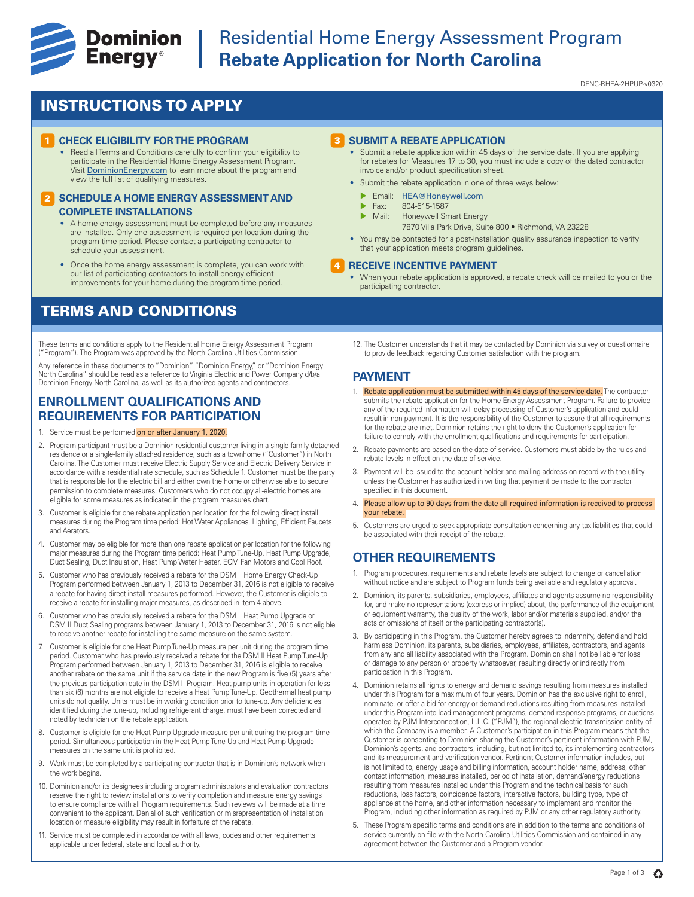

# **Example 19 Dominion** Residential Home Energy Assessment Program<br> **Energy**® Rebate Application for North Carolina **Rebate Application for North Carolina**

DENC-RHEA-2HPUP-v0320

## INSTRUCTIONS TO APPLY

### **CHECK ELIGIBILITY FOR THE PROGRAM**

• Read all Terms and Conditions carefully to confirm your eligibility to participate in the Residential Home Energy Assessment Program. Visit DominionEnergy.com to learn more about the program and view the full list of qualifying measures.

#### **2 SCHEDULE A HOME ENERGY ASSESSMENT AND COMPLETE INSTALLATIONS**

- A home energy assessment must be completed before any measures are installed. Only one assessment is required per location during the program time period. Please contact a participating contractor to schedule your assessment.
- Once the home energy assessment is complete, you can work with our list of participating contractors to install energy-efficient improvements for your home during the program time period.

### TERMS AND CONDITIONS

These terms and conditions apply to the Residential Home Energy Assessment Program ("Program"). The Program was approved by the North Carolina Utilities Commission.

Any reference in these documents to "Dominion," "Dominion Energy," or "Dominion Energy<br>North Carolina" should be read as a reference to Virginia Electric and Power Company d/b/a Dominion Energy North Carolina, as well as its authorized agents and contractors.

### **ENROLLMENT QUALIFICATIONS AND REQUIREMENTS FOR PARTICIPATION**

- 1. Service must be performed on or after January 1, 2020.
- 2. Program participant must be a Dominion residential customer living in a single-family detached residence or a single-family attached residence, such as a townhome ("Customer") in North Carolina. The Customer must receive Electric Supply Service and Electric Delivery Service in accordance with a residential rate schedule, such as Schedule 1. Customer must be the party that is responsible for the electric bill and either own the home or otherwise able to secure permission to complete measures. Customers who do not occupy all-electric homes are eligible for some measures as indicated in the program measures chart.
- 3. Customer is eligible for one rebate application per location for the following direct install measures during the Program time period: Hot Water Appliances, Lighting, Efficient Faucets and Aerators.
- 4. Customer may be eligible for more than one rebate application per location for the following major measures during the Program time period: Heat Pump Tune-Up, Heat Pump Upgrade, Duct Sealing, Duct Insulation, Heat Pump Water Heater, ECM Fan Motors and Cool Roof.
- 5. Customer who has previously received a rebate for the DSM II Home Energy Check-Up Program performed between January 1, 2013 to December 31, 2016 is not eligible to receive a rebate for having direct install measures performed. However, the Customer is eligible to receive a rebate for installing major measures, as described in item 4 above.
- 6. Customer who has previously received a rebate for the DSM II Heat Pump Upgrade or DSM II Duct Sealing programs between January 1, 2013 to December 31, 2016 is not eligible to receive another rebate for installing the same measure on the same system.
- 7. Customer is eligible for one Heat Pump Tune-Up measure per unit during the program time period. Customer who has previously received a rebate for the DSM II Heat Pump Tune-Up Program performed between January 1, 2013 to December 31, 2016 is eligible to receive another rebate on the same unit if the service date in the new Program is five (5) years after the previous participation date in the DSM II Program. Heat pump units in operation for less than six (6) months are not eligible to receive a Heat Pump Tune-Up. Geothermal heat pump units do not qualify. Units must be in working condition prior to tune-up. Any deficiencies identified during the tune-up, including refrigerant charge, must have been corrected and noted by technician on the rebate application.
- 8. Customer is eligible for one Heat Pump Upgrade measure per unit during the program time period. Simultaneous participation in the Heat Pump Tune-Up and Heat Pump Upgrade measures on the same unit is prohibited.
- 9. Work must be completed by a participating contractor that is in Dominion's network when the work begins.
- 10. Dominion and/or its designees including program administrators and evaluation contractors reserve the right to review installations to verify completion and measure energy savings to ensure compliance with all Program requirements. Such reviews will be made at a time convenient to the applicant. Denial of such verification or misrepresentation of installation location or measure eligibility may result in forfeiture of the rebate.
- 11. Service must be completed in accordance with all laws, codes and other requirements applicable under federal, state and local authority.

#### **3** SUBMIT A REBATE APPLICATION

- Submit a rebate application within 45 days of the service date. If you are applying for rebates for Measures 17 to 30, you must include a copy of the dated contractor invoice and/or product specification sheet.
- Submit the rebate application in one of three ways below:
	- Email: HEA@Honeywell.com
	- $\triangleright$  Fax: 804-515-1587
	- Honeywell Smart Energy
		- 7870 Villa Park Drive, Suite 800 Richmond, VA 23228
- You may be contacted for a post-installation quality assurance inspection to verify that your application meets program guidelines.

#### **RECEIVE INCENTIVE PAYMENT** 4

- When your rebate application is approved, a rebate check will be mailed to you or the participating contractor.
- 12. The Customer understands that it may be contacted by Dominion via survey or questionnaire to provide feedback regarding Customer satisfaction with the program.

### **PAYMENT**

- 1. Rebate application must be submitted within 45 days of the service date. The contractor submits the rebate application for the Home Energy Assessment Program. Failure to provide any of the required information will delay processing of Customer's application and could result in non-payment. It is the responsibility of the Customer to assure that all requirements for the rebate are met. Dominion retains the right to deny the Customer's application for failure to comply with the enrollment qualifications and requirements for participation.
- 2. Rebate payments are based on the date of service. Customers must abide by the rules and rebate levels in effect on the date of service.
- 3. Payment will be issued to the account holder and mailing address on record with the utility unless the Customer has authorized in writing that payment be made to the contractor specified in this document.
- 4. Please allow up to 90 days from the date all required information is received to process your rebate.
- 5. Customers are urged to seek appropriate consultation concerning any tax liabilities that could be associated with their receipt of the rebate.

### **OTHER REQUIREMENTS**

- 1. Program procedures, requirements and rebate levels are subject to change or cancellation without notice and are subject to Program funds being available and regulatory approval.
- 2. Dominion, its parents, subsidiaries, employees, affiliates and agents assume no responsibility for, and make no representations (express or implied) about, the performance of the equipment or equipment warranty, the quality of the work, labor and/or materials supplied, and/or the acts or omissions of itself or the participating contractor(s).
- 3. By participating in this Program, the Customer hereby agrees to indemnify, defend and hold harmless Dominion, its parents, subsidiaries, employees, affiliates, contractors, and agents from any and all liability associated with the Program. Dominion shall not be liable for loss or damage to any person or property whatsoever, resulting directly or indirectly from participation in this Program.
- 4. Dominion retains all rights to energy and demand savings resulting from measures installed under this Program for a maximum of four years. Dominion has the exclusive right to enroll, nominate, or offer a bid for energy or demand reductions resulting from measures installed under this Program into load management programs, demand response programs, or auctions operated by PJM Interconnection, L.L.C. ("PJM"), the regional electric transmission entity of which the Company is a member. A Customer's participation in this Program means that the Customer is consenting to Dominion sharing the Customer's pertinent information with PJM, Dominion's agents, and contractors, including, but not limited to, its implementing contractors and its measurement and verification vendor. Pertinent Customer information includes, but is not limited to, energy usage and billing information, account holder name, address, other contact information, measures installed, period of installation, demand/energy reductions resulting from measures installed under this Program and the technical basis for such reductions, loss factors, coincidence factors, interactive factors, building type, type of appliance at the home, and other information necessary to implement and monitor the Program, including other information as required by PJM or any other regulatory authority.
- 5. These Program specific terms and conditions are in addition to the terms and conditions of service currently on file with the North Carolina Utilities Commission and contained in any agreement between the Customer and a Program vendor.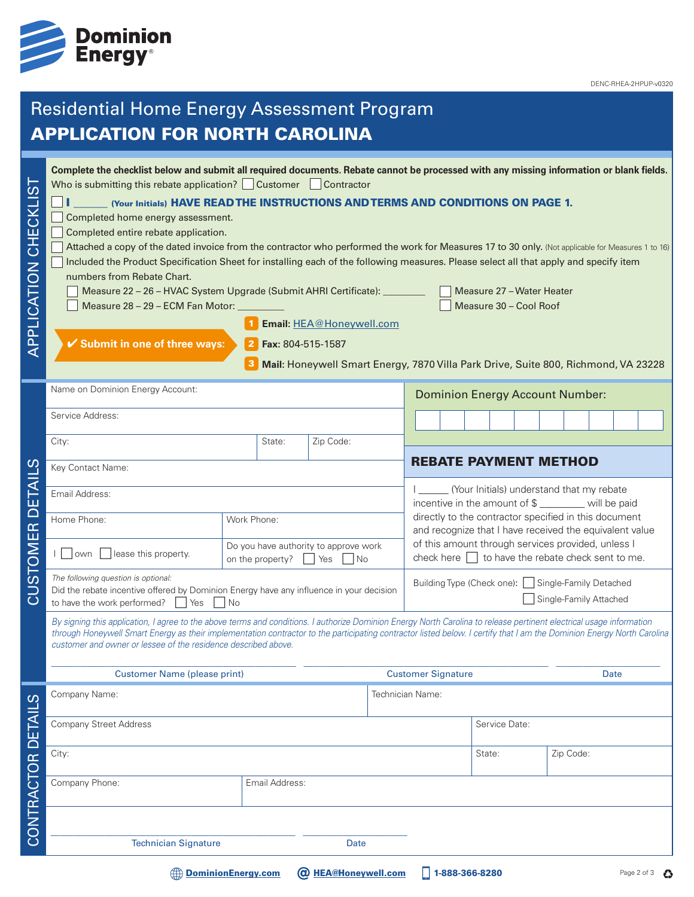

APPLICATION CHECKLIST

APPLICATION CHECKLIST

CONTRACTOR DETAILS

CONTRACTOR DETAIL

ပာ

CUSTOMER DETAILS

CUSTOMER DETAIL

 $\Omega$ 

DENC-RHEA-2HPUP-v0320

### *By signing this application, I agree to the above terms and conditions. I authorize Dominion Energy North Carolina to release pertinent electrical usage information through Honeywell Smart Energy as their implementation contractor to the participating contractor listed below. I certify that I am the Dominion Energy North Carolina customer and owner or lessee of the residence described above.* \_\_\_\_\_\_\_\_\_\_\_\_\_\_\_\_\_\_\_\_\_\_\_\_\_\_\_\_\_\_\_\_\_\_\_\_\_\_\_\_\_\_\_\_\_\_\_\_\_\_\_\_\_\_ \_\_\_\_\_\_\_\_\_\_\_\_\_\_\_\_\_\_\_\_\_\_\_\_\_\_\_\_\_\_\_\_\_\_\_\_\_\_\_\_\_\_\_\_\_\_\_\_\_\_\_\_\_\_ \_\_\_\_\_\_\_\_\_\_\_\_\_\_\_\_\_\_\_\_\_\_\_ Customer Name (please print) Customer Signature Date Residential Home Energy Assessment Program APPLICATION FOR NORTH CAROLINA Name on Dominion Energy Account: Service Address: City: City: City: City: City: City: City: City: City: Code: 2.5 and 2.5 and 2.5 and 2.5 and 2.5 and 2.5 and 2.5 and 2.5 and 2.5 and 2.5 and 2.5 and 2.5 and 2.5 and 2.5 and 2.5 and 2.5 and 2.5 and 2.5 and 2.5 and 2.5 and 2. Key Contact Name: Email Address: Home Phone: Work Phone:  $\Box$  Own  $\Box$  lease this property.  $\Box$  Do you have authority to approve work on the property?  $\Box$  Yes  $\Box$  No Dominion Energy Account Number: Company Name: Technician Name: Company Street Address Service Date: Service Date: Service Date: Service Date: Service Date: Service Date: Service Date: Service Date: Service Date: Service Date: Service Date: Service Date: Service Date: Service Date: Ser City: State: Zip Code: Company Phone: Email Address: REBATE PAYMENT METHOD \_\_\_\_\_\_\_\_\_\_\_\_\_\_\_\_\_\_\_\_\_\_\_\_\_\_\_\_\_\_\_\_\_\_\_\_\_\_\_\_\_\_\_\_\_\_\_\_\_\_\_\_\_\_ \_\_\_\_\_\_\_\_\_\_\_\_\_\_\_\_\_\_\_\_\_\_\_ Technician Signature Date I (Your Initials) understand that my rebate incentive in the amount of \$ \_\_\_\_\_\_\_\_\_ will be paid directly to the contractor specified in this document and recognize that I have received the equivalent value of this amount through services provided, unless I check here  $\Box$  to have the rebate check sent to me. *The following question is optional:* Did the rebate incentive offered by Dominion Energy have any influence in your decision to have the work performed?  $\Box$  Yes  $\Box$  No **Complete the checklist below and submit all required documents. Rebate cannot be processed with any missing information or blank fields.** Who is submitting this rebate application?  $\Box$  Customer  $\Box$  Contractor (Your Initials) HAVE READ THE INSTRUCTIONS AND TERMS AND CONDITIONS ON PAGE 1. Completed home energy assessment. Completed entire rebate application. Attached a copy of the dated invoice from the contractor who performed the work for Measures 17 to 30 only. (Not applicable for Measures 1 to 16) Included the Product Specification Sheet for installing each of the following measures. Please select all that apply and specify item numbers from Rebate Chart. Measure 22 – 26 – HVAC System Upgrade (Submit AHRI Certificate): \_\_\_\_\_\_\_\_\_ Measure 27 – Water Heater Measure 28 – 29 – ECM Fan Motor: \_\_\_\_\_\_\_\_\_\_ Measure 30 – Cool Roof 1 Email: HEA@Honeywell.com **Fax:** 804-515-1587 2 **Mail:** Honeywell Smart Energy, 7870 Villa Park Drive, Suite 800, Richmond, VA 23228 4 **Submit in one of three ways:** 3 Building Type (Check one):  $\Box$  Single-Family Detached Single-Family Attached

**Example 1-888-366-8280** [DominionEnergy.com](https://www.dominionenergy.com) **Q** HEA@Honeywell.com 1-888-366-8280